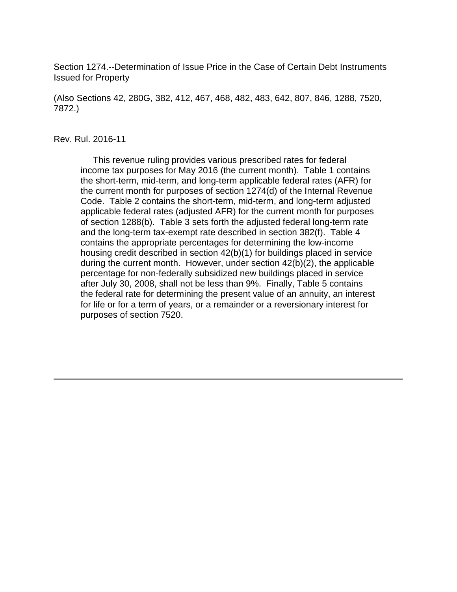Section 1274.--Determination of Issue Price in the Case of Certain Debt Instruments Issued for Property

(Also Sections 42, 280G, 382, 412, 467, 468, 482, 483, 642, 807, 846, 1288, 7520, 7872.)

#### Rev. Rul. 2016-11

 This revenue ruling provides various prescribed rates for federal income tax purposes for May 2016 (the current month). Table 1 contains the short-term, mid-term, and long-term applicable federal rates (AFR) for the current month for purposes of section 1274(d) of the Internal Revenue Code. Table 2 contains the short-term, mid-term, and long-term adjusted applicable federal rates (adjusted AFR) for the current month for purposes of section 1288(b). Table 3 sets forth the adjusted federal long-term rate and the long-term tax-exempt rate described in section 382(f). Table 4 contains the appropriate percentages for determining the low-income housing credit described in section 42(b)(1) for buildings placed in service during the current month. However, under section 42(b)(2), the applicable percentage for non-federally subsidized new buildings placed in service after July 30, 2008, shall not be less than 9%. Finally, Table 5 contains the federal rate for determining the present value of an annuity, an interest for life or for a term of years, or a remainder or a reversionary interest for purposes of section 7520.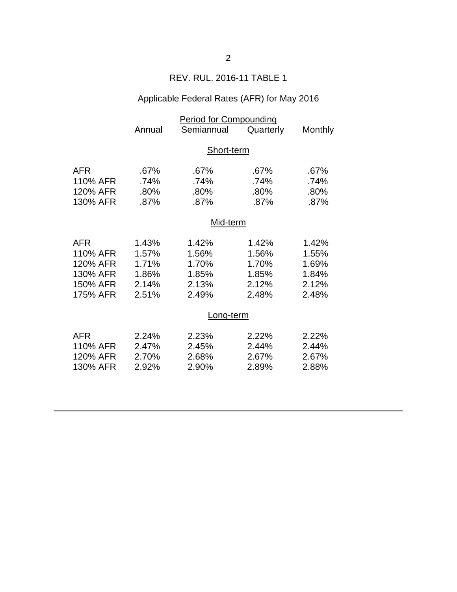## REV. RUL. 2016-11 TABLE 1

# Applicable Federal Rates (AFR) for May 2016

|            | <b>Period for Compounding</b> |            |           |                |  |
|------------|-------------------------------|------------|-----------|----------------|--|
|            | Annual                        | Semiannual | Quarterly | <b>Monthly</b> |  |
|            |                               |            |           |                |  |
|            | Short-term                    |            |           |                |  |
|            |                               |            |           |                |  |
| <b>AFR</b> | .67%                          | .67%       | .67%      | .67%           |  |
| 110% AFR   | .74%                          | .74%       | .74%      | .74%           |  |
| 120% AFR   | .80%                          | .80%       | .80%      | .80%           |  |
| 130% AFR   | .87%                          | .87%       | .87%      | .87%           |  |
|            | Mid-term                      |            |           |                |  |
|            |                               |            |           |                |  |
| <b>AFR</b> | 1.43%                         | 1.42%      | 1.42%     | 1.42%          |  |
| 110% AFR   | 1.57%                         | 1.56%      | 1.56%     | 1.55%          |  |
| 120% AFR   | 1.71%                         | 1.70%      | 1.70%     | 1.69%          |  |
| 130% AFR   | 1.86%                         | 1.85%      | 1.85%     | 1.84%          |  |
| 150% AFR   | 2.14%                         | 2.13%      | 2.12%     | 2.12%          |  |
| 175% AFR   | 2.51%                         | 2.49%      | 2.48%     | 2.48%          |  |
|            |                               |            |           |                |  |
|            | Long-term                     |            |           |                |  |
| <b>AFR</b> | 2.24%                         | 2.23%      | 2.22%     | 2.22%          |  |
| 110% AFR   | 2.47%                         | 2.45%      | 2.44%     | 2.44%          |  |
| 120% AFR   | 2.70%                         | 2.68%      | 2.67%     | 2.67%          |  |
|            |                               |            |           |                |  |
| 130% AFR   | 2.92%                         | 2.90%      | 2.89%     | 2.88%          |  |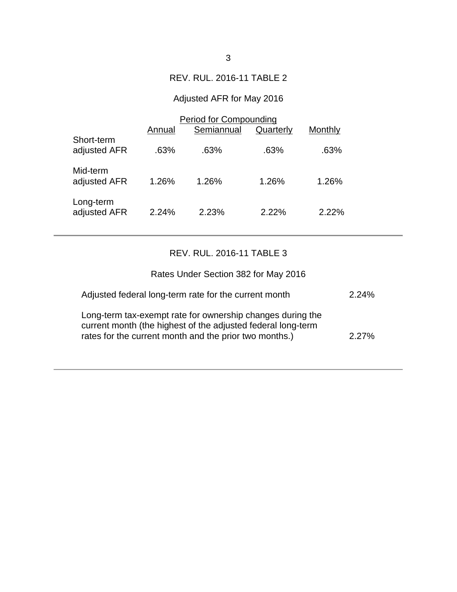### REV. RUL. 2016-11 TABLE 2

# Adjusted AFR for May 2016

|                            | <b>Period for Compounding</b> |            |           |         |  |
|----------------------------|-------------------------------|------------|-----------|---------|--|
|                            | Annual                        | Semiannual | Quarterly | Monthly |  |
| Short-term<br>adjusted AFR | .63%                          | .63%       | .63%      | .63%    |  |
| Mid-term<br>adjusted AFR   | 1.26%                         | 1.26%      | 1.26%     | 1.26%   |  |
| Long-term<br>adjusted AFR  | 2.24%                         | 2.23%      | 2.22%     | 2.22%   |  |

### REV. RUL. 2016-11 TABLE 3

| Rates Under Section 382 for May 2016                                                                                                                                                 |          |
|--------------------------------------------------------------------------------------------------------------------------------------------------------------------------------------|----------|
| Adjusted federal long-term rate for the current month                                                                                                                                | 2.24%    |
| Long-term tax-exempt rate for ownership changes during the<br>current month (the highest of the adjusted federal long-term<br>rates for the current month and the prior two months.) | $2.27\%$ |